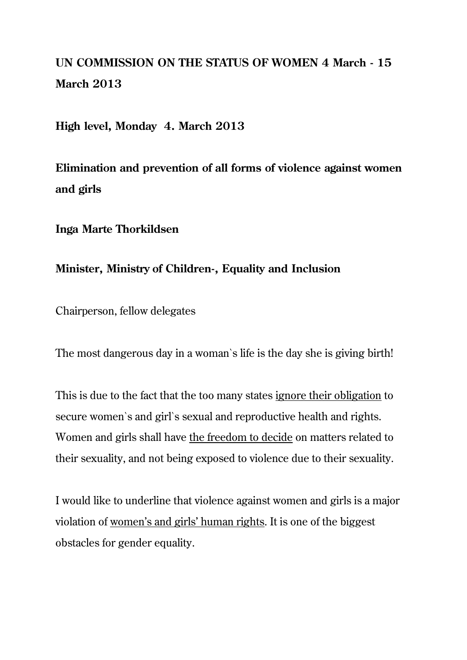## **UN COMMISSION ON THE STATUS OF WOMEN 4 March - 15 March 2013**

**High level, Monday 4. March 2013**

**Elimination and prevention of all forms of violence against women and girls**

## **Inga Marte Thorkildsen**

## **Minister, Ministry of Children-, Equality and Inclusion**

Chairperson, fellow delegates

The most dangerous day in a woman`s life is the day she is giving birth!

This is due to the fact that the too many states ignore their obligation to secure women`s and girl`s sexual and reproductive health and rights. Women and girls shall have the freedom to decide on matters related to their sexuality, and not being exposed to violence due to their sexuality.

I would like to underline that violence against women and girls is a major violation of women's and girls' human rights. It is one of the biggest obstacles for gender equality.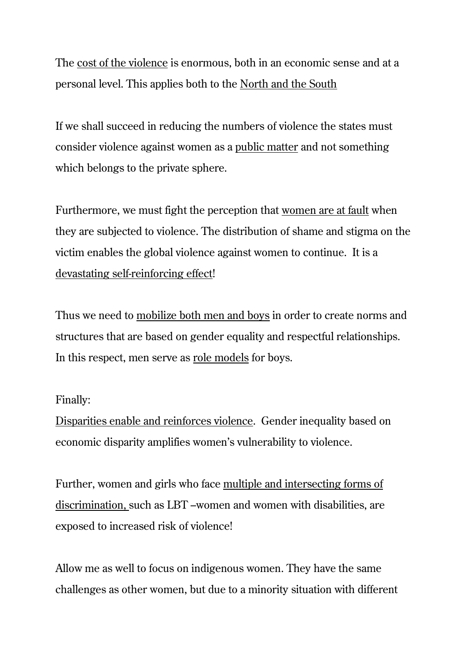The cost of the violence is enormous, both in an economic sense and at a personal level. This applies both to the North and the South

If we shall succeed in reducing the numbers of violence the states must consider violence against women as a public matter and not something which belongs to the private sphere.

Furthermore, we must fight the perception that women are at fault when they are subjected to violence. The distribution of shame and stigma on the victim enables the global violence against women to continue. It is a devastating self-reinforcing effect!

Thus we need to mobilize both men and boys in order to create norms and structures that are based on gender equality and respectful relationships. In this respect, men serve as role models for boys.

## Finally:

Disparities enable and reinforces violence. Gender inequality based on economic disparity amplifies women's vulnerability to violence.

Further, women and girls who face multiple and intersecting forms of discrimination, such as LBT –women and women with disabilities, are exposed to increased risk of violence!

Allow me as well to focus on indigenous women. They have the same challenges as other women, but due to a minority situation with different